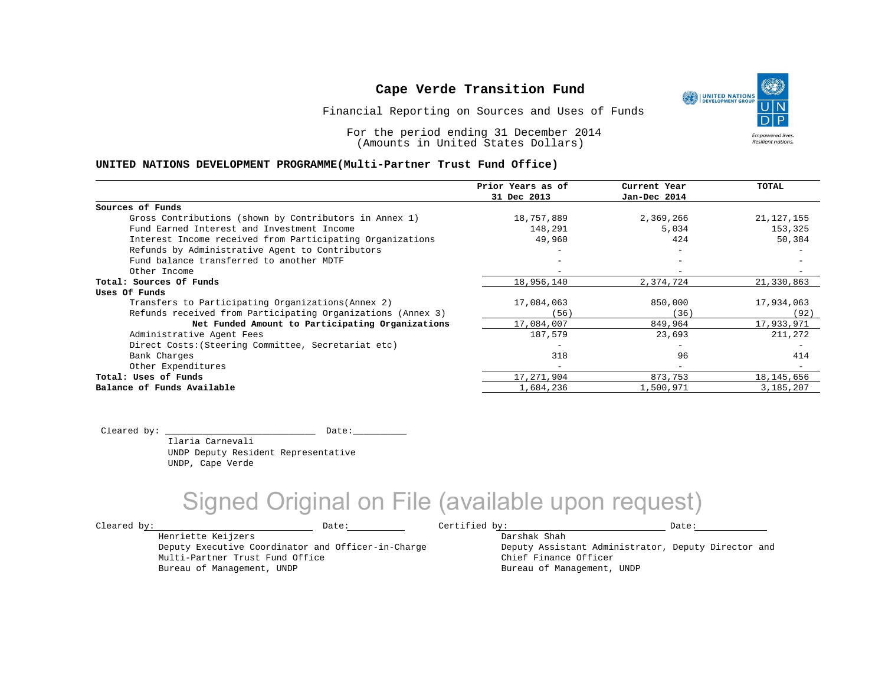Financial Reporting on Sources and Uses of Funds

For the period ending 31 December 2014 (Amounts in United States Dollars)

#### **UNITED NATIONS DEVELOPMENT PROGRAMME(Multi-Partner Trust Fund Office)**

|                                                             | Prior Years as of | Current Year             | TOTAL        |
|-------------------------------------------------------------|-------------------|--------------------------|--------------|
|                                                             | 31 Dec 2013       | Jan-Dec 2014             |              |
| Sources of Funds                                            |                   |                          |              |
| Gross Contributions (shown by Contributors in Annex 1)      | 18,757,889        | 2,369,266                | 21, 127, 155 |
| Fund Earned Interest and Investment Income                  | 148,291           | 5,034                    | 153,325      |
| Interest Income received from Participating Organizations   | 49,960            | 424                      | 50,384       |
| Refunds by Administrative Agent to Contributors             |                   |                          |              |
| Fund balance transferred to another MDTF                    |                   |                          |              |
| Other Income                                                |                   | $\overline{\phantom{m}}$ |              |
| Total: Sources Of Funds                                     | 18,956,140        | 2,374,724                | 21,330,863   |
| Uses Of Funds                                               |                   |                          |              |
| Transfers to Participating Organizations (Annex 2)          | 17,084,063        | 850,000                  | 17,934,063   |
| Refunds received from Participating Organizations (Annex 3) | (56)              | (36)                     | (92)         |
| Net Funded Amount to Participating Organizations            | 17,084,007        | 849,964                  | 17,933,971   |
| Administrative Agent Fees                                   | 187,579           | 23,693                   | 211,272      |
| Direct Costs: (Steering Committee, Secretariat etc)         |                   | $\overline{\phantom{0}}$ |              |
| Bank Charges                                                | 318               | 96                       | 414          |
| Other Expenditures                                          | $-$               | $-$                      |              |
| Total: Uses of Funds                                        | 17,271,904        | 873,753                  | 18, 145, 656 |
| Balance of Funds Available                                  | 1,684,236         | 1,500,971                | 3,185,207    |

Cleared by: \_\_\_\_\_\_\_\_\_\_\_\_\_\_\_\_\_\_\_\_\_\_\_\_\_\_\_\_ Date:\_\_\_\_\_\_\_\_\_\_

 Ilaria Carnevali UNDP Deputy Resident Representative UNDP, Cape Verde

Deputy Executive Coordinator and Officer-in-Charge

Henriette Keijzers

Multi-Partner Trust Fund Office Bureau of Management, UNDP

## Signed Original on File (available upon request)

 $\texttt{Cleared by:}\footnotesize \begin{minipage}{0.9\linewidth} \texttt{Date:}\footnotesize \begin{minipage}{0.9\linewidth} \texttt{Date:}\footnotesize \begin{minipage}{0.9\linewidth} \end{minipage} \end{minipage}$ 

Darshak Shah

Deputy Assistant Administrator, Deputy Director and Chief Finance Officer Bureau of Management, UNDP

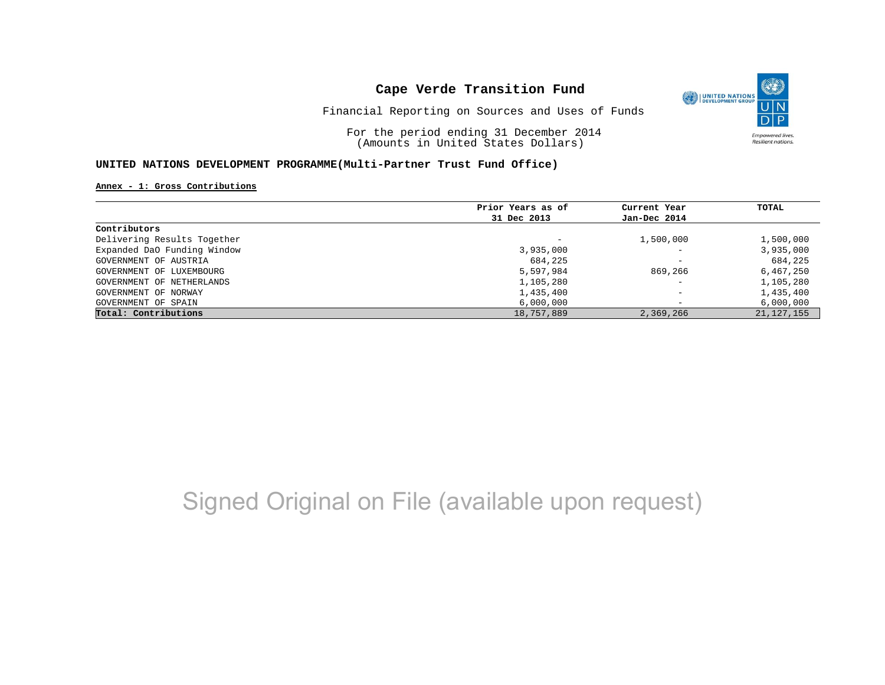

Financial Reporting on Sources and Uses of Funds

For the period ending 31 December 2014 (Amounts in United States Dollars)

#### **UNITED NATIONS DEVELOPMENT PROGRAMME(Multi-Partner Trust Fund Office)**

#### **Annex - 1: Gross Contributions**

|                             | Prior Years as of        | Current Year             | TOTAL        |
|-----------------------------|--------------------------|--------------------------|--------------|
|                             | 31 Dec 2013              | Jan-Dec 2014             |              |
| Contributors                |                          |                          |              |
| Delivering Results Together | $\overline{\phantom{0}}$ | 1,500,000                | 1,500,000    |
| Expanded DaO Funding Window | 3,935,000                | $\overline{\phantom{0}}$ | 3,935,000    |
| GOVERNMENT OF AUSTRIA       | 684,225                  | $\overline{\phantom{a}}$ | 684,225      |
| GOVERNMENT OF LUXEMBOURG    | 5,597,984                | 869,266                  | 6,467,250    |
| GOVERNMENT OF NETHERLANDS   | 1,105,280                | $\overline{\phantom{a}}$ | 1,105,280    |
| GOVERNMENT OF NORWAY        | 1,435,400                | $\overline{\phantom{0}}$ | 1,435,400    |
| GOVERNMENT OF SPAIN         | 6,000,000                | -                        | 6,000,000    |
| Total: Contributions        | 18,757,889               | 2,369,266                | 21, 127, 155 |

# Signed Original on File (available upon request)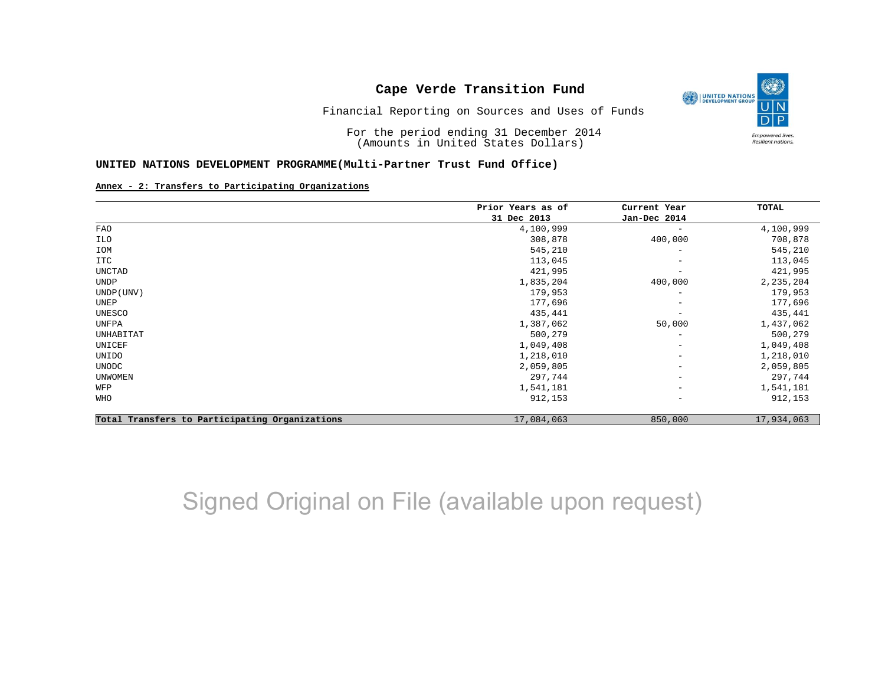

Financial Reporting on Sources and Uses of Funds

For the period ending 31 December 2014 (Amounts in United States Dollars)

#### **UNITED NATIONS DEVELOPMENT PROGRAMME(Multi-Partner Trust Fund Office)**

#### **Annex - 2: Transfers to Participating Organizations**

|                                                | Prior Years as of | Current Year<br>Jan-Dec 2014 | TOTAL      |
|------------------------------------------------|-------------------|------------------------------|------------|
|                                                | 31 Dec 2013       |                              |            |
| FAO                                            | 4,100,999         |                              | 4,100,999  |
| ILO                                            | 308,878           | 400,000                      | 708,878    |
| IOM                                            | 545,210           | $\overline{\phantom{m}}$     | 545,210    |
| ITC                                            | 113,045           | $\overline{\phantom{m}}$     | 113,045    |
| UNCTAD                                         | 421,995           | $\overline{\phantom{a}}$     | 421,995    |
| UNDP                                           | 1,835,204         | 400,000                      | 2,235,204  |
| UNDP (UNV)                                     | 179,953           | $\qquad \qquad -$            | 179,953    |
| UNEP                                           | 177,696           | $\qquad \qquad -$            | 177,696    |
| UNESCO                                         | 435,441           |                              | 435,441    |
| UNFPA                                          | 1,387,062         | 50,000                       | 1,437,062  |
| UNHABITAT                                      | 500,279           | $\qquad \qquad -$            | 500,279    |
| UNICEF                                         | 1,049,408         | $\overline{\phantom{m}}$     | 1,049,408  |
| UNIDO                                          | 1,218,010         | $\overline{\phantom{m}}$     | 1,218,010  |
| UNODC                                          | 2,059,805         | $\overline{\phantom{m}}$     | 2,059,805  |
| <b>UNWOMEN</b>                                 | 297,744           | $\overline{\phantom{m}}$     | 297,744    |
| WFP                                            | 1,541,181         | $\overline{\phantom{m}}$     | 1,541,181  |
| WHO                                            | 912,153           | $\overline{\phantom{a}}$     | 912,153    |
| Total Transfers to Participating Organizations | 17,084,063        | 850,000                      | 17,934,063 |

# Signed Original on File (available upon request)